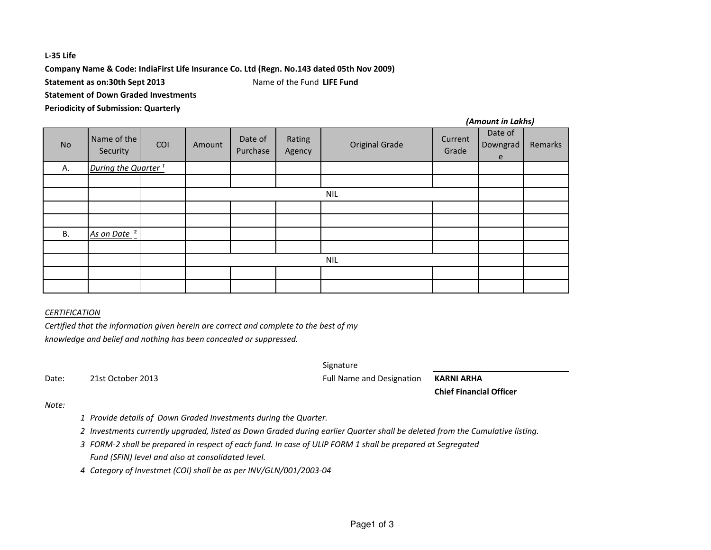# **L-35 Life**

**Company Name & Code: IndiaFirst Life Insurance Co. Ltd (Regn. No.143 dated 05th Nov 2009)**

**Statement as on:30th Sept 2013**Name of the Fund **LIFE Fund**

**Statement of Down Graded Investments**

**Periodicity of Submission: Quarterly**

| No        | Name of the<br>Security         | COI | Amount     | Date of<br>Purchase | Rating<br>Agency | <b>Original Grade</b> | Current<br>Grade | Date of<br>Downgrad<br>e | Remarks |
|-----------|---------------------------------|-----|------------|---------------------|------------------|-----------------------|------------------|--------------------------|---------|
| Α.        | During the Quarter <sup>1</sup> |     |            |                     |                  |                       |                  |                          |         |
|           |                                 |     |            |                     |                  |                       |                  |                          |         |
|           |                                 |     | <b>NIL</b> |                     |                  |                       |                  |                          |         |
|           |                                 |     |            |                     |                  |                       |                  |                          |         |
|           |                                 |     |            |                     |                  |                       |                  |                          |         |
| <b>B.</b> | As on Date <sup>2</sup>         |     |            |                     |                  |                       |                  |                          |         |
|           |                                 |     |            |                     |                  |                       |                  |                          |         |
|           |                                 |     |            |                     |                  | <b>NIL</b>            |                  |                          |         |
|           |                                 |     |            |                     |                  |                       |                  |                          |         |
|           |                                 |     |            |                     |                  |                       |                  |                          |         |

### *CERTIFICATION*

 *Certified that the information given herein are correct and complete to the best of myknowledge and belief and nothing has been concealed or suppressed.*

Date: 21st October 2013

SignatureFull Name and Designation

**KARNI ARHA**

**Chief Financial Officer**

*(Amount in Lakhs)*

### *Note:*

- *<sup>1</sup> Provide details of Down Graded Investments during the Quarter.*
- *<sup>2</sup> Investments currently upgraded, listed as Down Graded during earlier Quarter shall be deleted from the Cumulative listing.*
- *<sup>3</sup> FORM-2 shall be prepared in respect of each fund. In case of ULIP FORM 1 shall be prepared at Segregated Fund (SFIN) level and also at consolidated level.*
- *<sup>4</sup> Category of Investmet (COI) shall be as per INV/GLN/001/2003-04*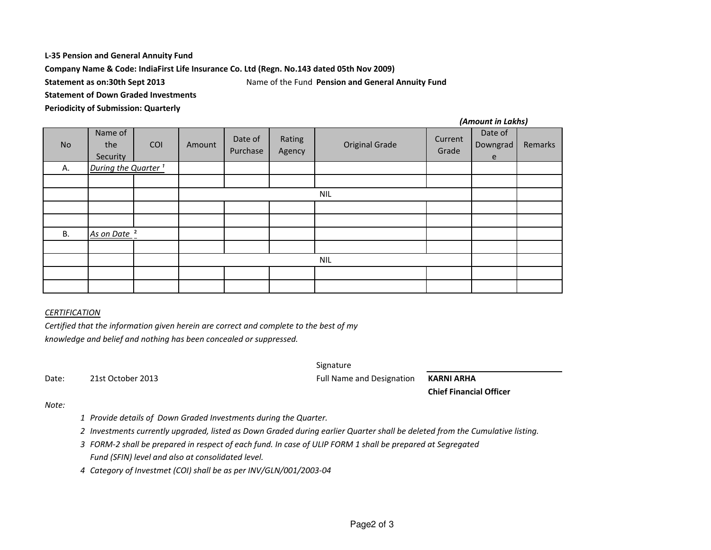### **L-35 Pension and General Annuity Fund**

**Company Name & Code: IndiaFirst Life Insurance Co. Ltd (Regn. No.143 dated 05th Nov 2009)**

**Statement as on:30th Sept 2013**

 Name of the Fund **Pension and General Annuity FundStatement of Down Graded Investments**

**Periodicity of Submission: Quarterly**

| <b>No</b> | Name of<br>the<br>Security      | COI | Amount     | Date of<br>Purchase | Rating<br>Agency | <b>Original Grade</b> | Current<br>Grade | Date of<br>Downgrad<br>e | Remarks |
|-----------|---------------------------------|-----|------------|---------------------|------------------|-----------------------|------------------|--------------------------|---------|
| Α.        | During the Quarter <sup>1</sup> |     |            |                     |                  |                       |                  |                          |         |
|           |                                 |     |            |                     |                  |                       |                  |                          |         |
|           |                                 |     | <b>NIL</b> |                     |                  |                       |                  |                          |         |
|           |                                 |     |            |                     |                  |                       |                  |                          |         |
|           |                                 |     |            |                     |                  |                       |                  |                          |         |
| В.        | As on Date <sup>2</sup>         |     |            |                     |                  |                       |                  |                          |         |
|           |                                 |     |            |                     |                  |                       |                  |                          |         |
|           |                                 |     |            |                     |                  | <b>NIL</b>            |                  |                          |         |
|           |                                 |     |            |                     |                  |                       |                  |                          |         |
|           |                                 |     |            |                     |                  |                       |                  |                          |         |

### *CERTIFICATION*

 *Certified that the information given herein are correct and complete to the best of myknowledge and belief and nothing has been concealed or suppressed.*

Date: 21st October 2013

SignatureFull Name and Designation

**KARNI ARHA**

**Chief Financial Officer**

*(Amount in Lakhs)*

### *Note:*

- *<sup>1</sup> Provide details of Down Graded Investments during the Quarter.*
- *<sup>2</sup> Investments currently upgraded, listed as Down Graded during earlier Quarter shall be deleted from the Cumulative listing.*
- *<sup>3</sup> FORM-2 shall be prepared in respect of each fund. In case of ULIP FORM 1 shall be prepared at Segregated Fund (SFIN) level and also at consolidated level.*
- *<sup>4</sup> Category of Investmet (COI) shall be as per INV/GLN/001/2003-04*